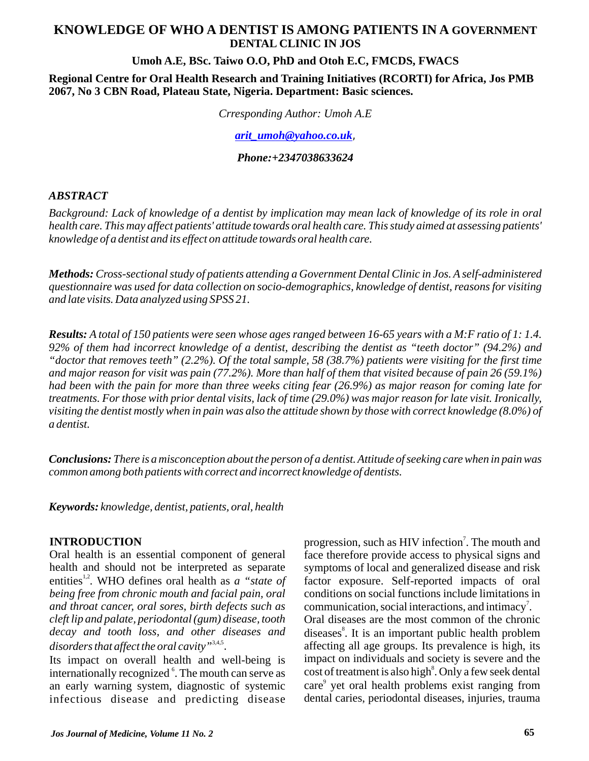# **KNOWLEDGE OF WHO A DENTIST IS AMONG PATIENTS IN A GOVERNMENT DENTAL CLINIC IN JOS**

#### **Umoh A.E, BSc. Taiwo O.O, PhD and Otoh E.C, FMCDS, FWACS**

**Regional Centre for Oral Health Research and Training Initiatives (RCORTI) for Africa, Jos PMB 2067, No 3 CBN Road, Plateau State, Nigeria. Department: Basic sciences.**

*Crresponding Author: Umoh A.E*

, *[arit\\_umoh@yahoo.co.uk](mailto:arit_umoh@yahoo.co.uk)*

*Phone:+2347038633624*

#### *ABSTRACT*

*Background: Lack of knowledge of a dentist by implication may mean lack of knowledge of its role in oral health care. This may affect patients' attitude towards oral health care. This study aimed at assessing patients' knowledge of a dentist and its effect on attitude towards oral health care.*

*Methods: Cross-sectional study of patients attending a Government Dental Clinic in Jos. A self-administered questionnaire was used for data collection on socio-demographics, knowledge of dentist, reasons for visiting and late visits. Data analyzed using SPSS 21.*

*Results: A total of 150 patients were seen whose ages ranged between 16-65 years with a M:F ratio of 1: 1.4. 92% of them had incorrect knowledge of a dentist, describing the dentist as "teeth doctor" (94.2%) and "doctor that removes teeth" (2.2%). Of the total sample, 58 (38.7%) patients were visiting for the first time and major reason for visit was pain (77.2%). More than half of them that visited because of pain 26 (59.1%) had been with the pain for more than three weeks citing fear (26.9%) as major reason for coming late for treatments. For those with prior dental visits, lack of time (29.0%) was major reason for late visit. Ironically, visiting the dentist mostly when in pain was also the attitude shown by those with correct knowledge (8.0%) of a dentist.*

*Conclusions: There is a misconception about the person of a dentist. Attitude of seeking care when in pain was common among both patients with correct and incorrect knowledge of dentists.*

*Keywords: knowledge, dentist, patients, oral, health*

#### **INTRODUCTION**

Oral health is an essential component of general health and should not be interpreted as separate entities<sup>1,2</sup>. WHO defines oral health as *a "state of being free from chronic mouth and facial pain, oral and throat cancer, oral sores, birth defects such as cleft lip and palate, periodontal (gum) disease, tooth decay and tooth loss, and other diseases and*  disorders that affect the oral cavity<sup>"3,4,5</sup>.

Its impact on overall health and well-being is internationally recognized <sup>6</sup>. The mouth can serve as an early warning system, diagnostic of systemic infectious disease and predicting disease

progression, such as HIV infection<sup>7</sup>. The mouth and face therefore provide access to physical signs and symptoms of local and generalized disease and risk factor exposure. Self-reported impacts of oral conditions on social functions include limitations in communication, social interactions, and intimacy<sup>7</sup>. Oral diseases are the most common of the chronic diseases<sup>8</sup>. It is an important public health problem affecting all age groups. Its prevalence is high, its impact on individuals and society is severe and the cost of treatment is also high<sup>8</sup>. Only a few seek dental care<sup>9</sup> yet oral health problems exist ranging from dental caries, periodontal diseases, injuries, trauma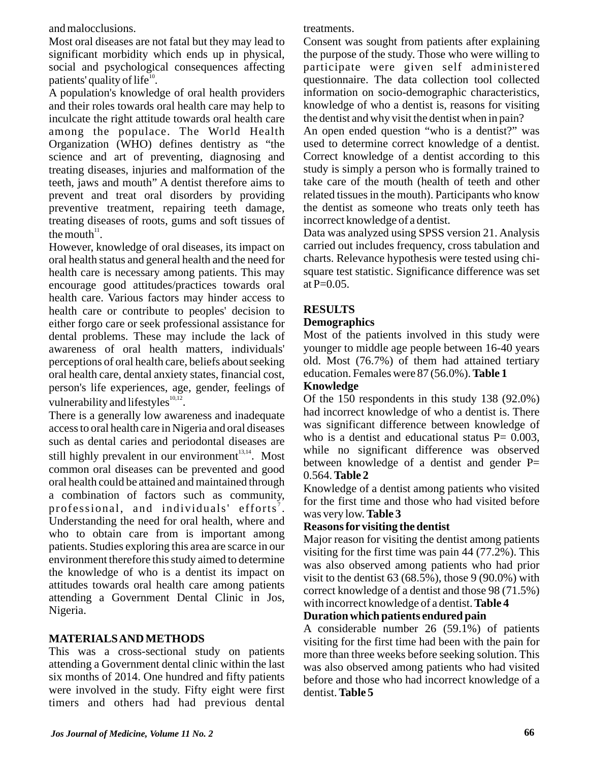and malocclusions.

Most oral diseases are not fatal but they may lead to significant morbidity which ends up in physical, social and psychological consequences affecting patients' quality of life $^{10}$ .

A population's knowledge of oral health providers and their roles towards oral health care may help to inculcate the right attitude towards oral health care among the populace. The World Health Organization (WHO) defines dentistry as "the science and art of preventing, diagnosing and treating diseases, injuries and malformation of the teeth, jaws and mouth" A dentist therefore aims to prevent and treat oral disorders by providing preventive treatment, repairing teeth damage, treating diseases of roots, gums and soft tissues of the mouth $11$ .

However, knowledge of oral diseases, its impact on oral health status and general health and the need for health care is necessary among patients. This may encourage good attitudes/practices towards oral health care. Various factors may hinder access to health care or contribute to peoples' decision to either forgo care or seek professional assistance for dental problems. These may include the lack of awareness of oral health matters, individuals' perceptions of oral health care, beliefs about seeking oral health care, dental anxiety states, financial cost, person's life experiences, age, gender, feelings of vulnerability and lifestyles $^{10,12}$ .

There is a generally low awareness and inadequate access to oral health care in Nigeria and oral diseases such as dental caries and periodontal diseases are still highly prevalent in our environment<sup>13,14</sup>. Most common oral diseases can be prevented and good oral health could be attained and maintained through a combination of factors such as community, professional, and individuals' efforts<sup>7</sup>. Understanding the need for oral health, where and who to obtain care from is important among patients. Studies exploring this area are scarce in our environment therefore this study aimed to determine the knowledge of who is a dentist its impact on attitudes towards oral health care among patients attending a Government Dental Clinic in Jos, Nigeria.

## **MATERIALS AND METHODS**

This was a cross-sectional study on patients attending a Government dental clinic within the last six months of 2014. One hundred and fifty patients were involved in the study. Fifty eight were first timers and others had had previous dental treatments.

Consent was sought from patients after explaining the purpose of the study. Those who were willing to participate were given self administered questionnaire. The data collection tool collected information on socio-demographic characteristics, knowledge of who a dentist is, reasons for visiting the dentist and why visit the dentist when in pain?

An open ended question "who is a dentist?" was used to determine correct knowledge of a dentist. Correct knowledge of a dentist according to this study is simply a person who is formally trained to take care of the mouth (health of teeth and other related tissues in the mouth). Participants who know the dentist as someone who treats only teeth has incorrect knowledge of a dentist.

Data was analyzed using SPSS version 21. Analysis carried out includes frequency, cross tabulation and charts. Relevance hypothesis were tested using chisquare test statistic. Significance difference was set at  $P=0.05$ .

# **RESULTS**

## **Demographics**

Most of the patients involved in this study were younger to middle age people between 16-40 years old. Most (76.7%) of them had attained tertiary education. Females were 87 (56.0%). **Table 1**

## **Knowledge**

Of the 150 respondents in this study 138 (92.0%) had incorrect knowledge of who a dentist is. There was significant difference between knowledge of who is a dentist and educational status  $P = 0.003$ , while no significant difference was observed between knowledge of a dentist and gender  $P=$ 0.564. **Table 2**

Knowledge of a dentist among patients who visited for the first time and those who had visited before was very low. **Table 3**

## **Reasons for visiting the dentist**

Major reason for visiting the dentist among patients visiting for the first time was pain 44 (77.2%). This was also observed among patients who had prior visit to the dentist  $63 (68.5\%)$ , those  $9 (90.0\%)$  with correct knowledge of a dentist and those 98 (71.5%) with incorrect knowledge of a dentist. **Table 4**

# **Duration which patients endured pain**

A considerable number 26 (59.1%) of patients visiting for the first time had been with the pain for more than three weeks before seeking solution. This was also observed among patients who had visited before and those who had incorrect knowledge of a dentist. **Table 5**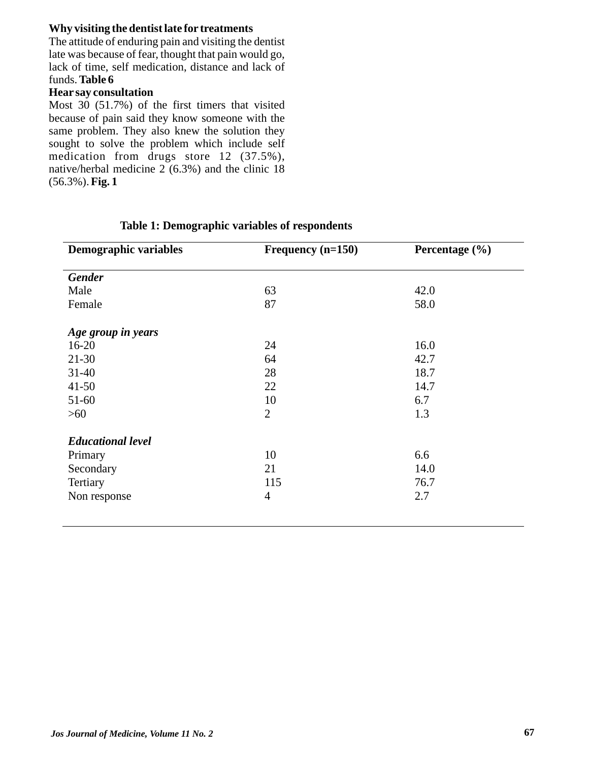## **Why visiting the dentist late for treatments**

The attitude of enduring pain and visiting the dentist late was because of fear, thought that pain would go, lack of time, self medication, distance and lack of funds. **Table 6**

## **Hear say consultation**

Most 30 (51.7%) of the first timers that visited because of pain said they know someone with the same problem. They also knew the solution they sought to solve the problem which include self medication from drugs store 12 (37.5%), native/herbal medicine 2 (6.3%) and the clinic 18 (56.3%). **Fig. 1**

| <b>Demographic variables</b> | Frequency $(n=150)$ | Percentage (%) |  |
|------------------------------|---------------------|----------------|--|
|                              |                     |                |  |
| <b>Gender</b>                |                     |                |  |
| Male                         | 63                  | 42.0           |  |
| Female                       | 87                  | 58.0           |  |
| Age group in years           |                     |                |  |
| $16 - 20$                    | 24                  | 16.0           |  |
| $21 - 30$                    | 64                  | 42.7           |  |
| $31 - 40$                    | 28                  | 18.7           |  |
| $41 - 50$                    | 22                  | 14.7           |  |
| $51-60$                      | 10                  | 6.7            |  |
| $>60$                        | $\overline{2}$      | 1.3            |  |
| <b>Educational level</b>     |                     |                |  |
| Primary                      | 10                  | 6.6            |  |
| Secondary                    | 21                  | 14.0           |  |
| Tertiary                     | 115                 | 76.7           |  |
| Non response                 | 4                   | 2.7            |  |
|                              |                     |                |  |

## **Table 1: Demographic variables of respondents**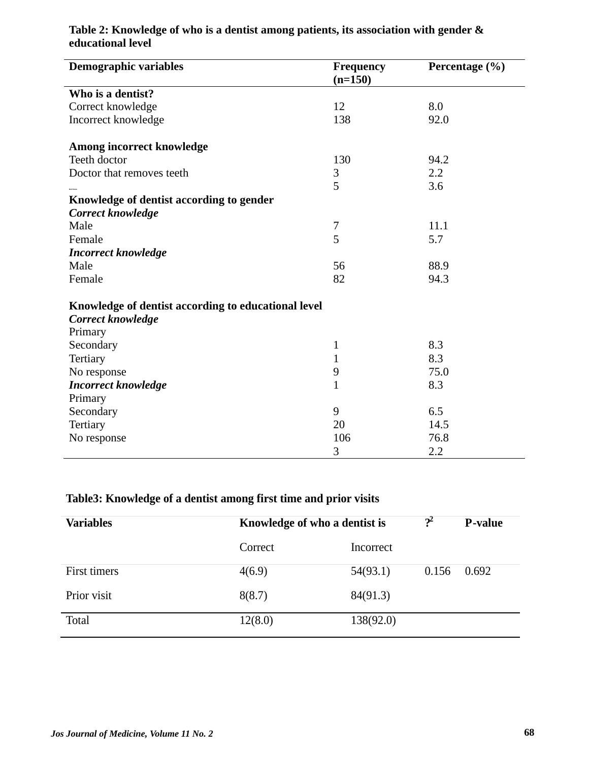| <b>Demographic variables</b>                        | Frequency<br>$(n=150)$ | Percentage (%) |  |  |  |
|-----------------------------------------------------|------------------------|----------------|--|--|--|
| Who is a dentist?                                   |                        |                |  |  |  |
| Correct knowledge                                   | 12                     | 8.0            |  |  |  |
| Incorrect knowledge                                 | 138                    | 92.0           |  |  |  |
| Among incorrect knowledge                           |                        |                |  |  |  |
| Teeth doctor                                        | 130                    | 94.2           |  |  |  |
| Doctor that removes teeth                           | 3                      | 2.2            |  |  |  |
|                                                     | 5                      | 3.6            |  |  |  |
| Knowledge of dentist according to gender            |                        |                |  |  |  |
| Correct knowledge                                   |                        |                |  |  |  |
| Male                                                | $\overline{7}$         | 11.1           |  |  |  |
| Female                                              | 5                      | 5.7            |  |  |  |
| <b>Incorrect knowledge</b>                          |                        |                |  |  |  |
| Male                                                | 56                     | 88.9           |  |  |  |
| Female                                              | 82                     | 94.3           |  |  |  |
| Knowledge of dentist according to educational level |                        |                |  |  |  |
| Correct knowledge                                   |                        |                |  |  |  |
| Primary                                             |                        |                |  |  |  |
| Secondary                                           | $\mathbf{1}$           | 8.3            |  |  |  |
| Tertiary                                            | $\mathbf{1}$           | 8.3            |  |  |  |
| No response                                         | 9                      | 75.0           |  |  |  |
| <b>Incorrect knowledge</b>                          | $\mathbf{1}$           | 8.3            |  |  |  |
| Primary                                             |                        |                |  |  |  |
| Secondary                                           | 9                      | 6.5            |  |  |  |
| Tertiary                                            | 20                     | 14.5           |  |  |  |
| No response                                         | 106                    | 76.8           |  |  |  |
|                                                     | 3                      | 2.2            |  |  |  |

# **Table 2: Knowledge of who is a dentist among patients, its association with gender & educational level**

# **Table3: Knowledge of a dentist among first time and prior visits**

| <b>Variables</b> | Knowledge of who a dentist is |           | $?^{2}$ | <b>P</b> -value |
|------------------|-------------------------------|-----------|---------|-----------------|
|                  | Correct                       | Incorrect |         |                 |
| First timers     | 4(6.9)                        | 54(93.1)  | 0.156   | 0.692           |
| Prior visit      | 8(8.7)                        | 84(91.3)  |         |                 |
| Total            | 12(8.0)                       | 138(92.0) |         |                 |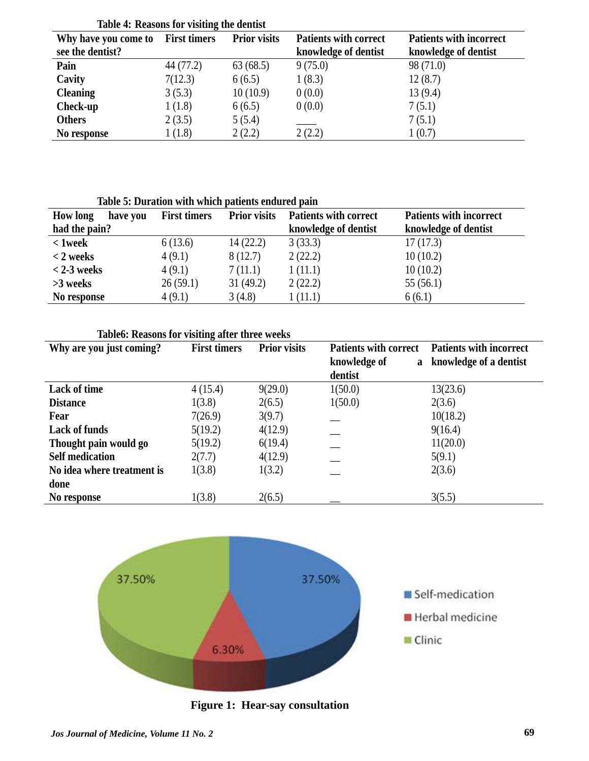|                      | Table 7. Incasons for visiting the actitist |                     |                              |                                |
|----------------------|---------------------------------------------|---------------------|------------------------------|--------------------------------|
| Why have you come to | <b>First timers</b>                         | <b>Prior visits</b> | <b>Patients with correct</b> | <b>Patients with incorrect</b> |
| see the dentist?     |                                             |                     | knowledge of dentist         | knowledge of dentist           |
| Pain                 | 44 (77.2)                                   | 63(68.5)            | 9(75.0)                      | 98 (71.0)                      |
| Cavity               | 7(12.3)                                     | 6(6.5)              | 1(8.3)                       | 12(8.7)                        |
| <b>Cleaning</b>      | 3(5.3)                                      | 10(10.9)            | 0(0.0)                       | 13(9.4)                        |
| Check-up             | 1(1.8)                                      | 6(6.5)              | 0(0.0)                       | 7(5.1)                         |
| <b>Others</b>        | 2(3.5)                                      | 5(5.4)              |                              | 7(5.1)                         |
| No response          | 1(1.8)                                      | 2(2.2)              | 2(2.2)                       | 1(0.7)                         |

**Table 4: Reasons for visiting the dentist**

**Table 5: Duration with which patients endured pain**

| <b>How long</b><br>have you | <b>First timers</b> | <b>Prior visits</b> | <b>Patients with correct</b> | <b>Patients with incorrect</b> |
|-----------------------------|---------------------|---------------------|------------------------------|--------------------------------|
| had the pain?               |                     |                     | knowledge of dentist         | knowledge of dentist           |
| $< 1$ week                  | 6(13.6)             | 14(22.2)            | 3(33.3)                      | 17(17.3)                       |
| $<$ 2 weeks                 | 4(9.1)              | 8(12.7)             | 2(22.2)                      | 10(10.2)                       |
| $<$ 2-3 weeks               | 4(9.1)              | 7(11.1)             | 1(11.1)                      | 10(10.2)                       |
| $>3$ weeks                  | 26(59.1)            | 31(49.2)            | 2(22.2)                      | 55(56.1)                       |
| No response                 | 4(9.1)              | 3(4.8)              | 1(11.1)                      | 6(6.1)                         |

| Why are you just coming?   | <b>First timers</b> | <b>Prior visits</b> | <b>Patients with correct</b><br>knowledge of<br>a | <b>Patients with incorrect</b><br>knowledge of a dentist |
|----------------------------|---------------------|---------------------|---------------------------------------------------|----------------------------------------------------------|
|                            |                     |                     | dentist                                           |                                                          |
| Lack of time               | 4(15.4)             | 9(29.0)             | 1(50.0)                                           | 13(23.6)                                                 |
| <b>Distance</b>            | 1(3.8)              | 2(6.5)              | 1(50.0)                                           | 2(3.6)                                                   |
| Fear                       | 7(26.9)             | 3(9.7)              |                                                   | 10(18.2)                                                 |
| <b>Lack of funds</b>       | 5(19.2)             | 4(12.9)             |                                                   | 9(16.4)                                                  |
| Thought pain would go      | 5(19.2)             | 6(19.4)             |                                                   | 11(20.0)                                                 |
| <b>Self medication</b>     | 2(7.7)              | 4(12.9)             |                                                   | 5(9.1)                                                   |
| No idea where treatment is | 1(3.8)              | 1(3.2)              |                                                   | 2(3.6)                                                   |
| done                       |                     |                     |                                                   |                                                          |
| No response                | 1(3.8)              | 2(6.5)              |                                                   | 3(5.5)                                                   |



 **Figure 1: Hear-say consultation**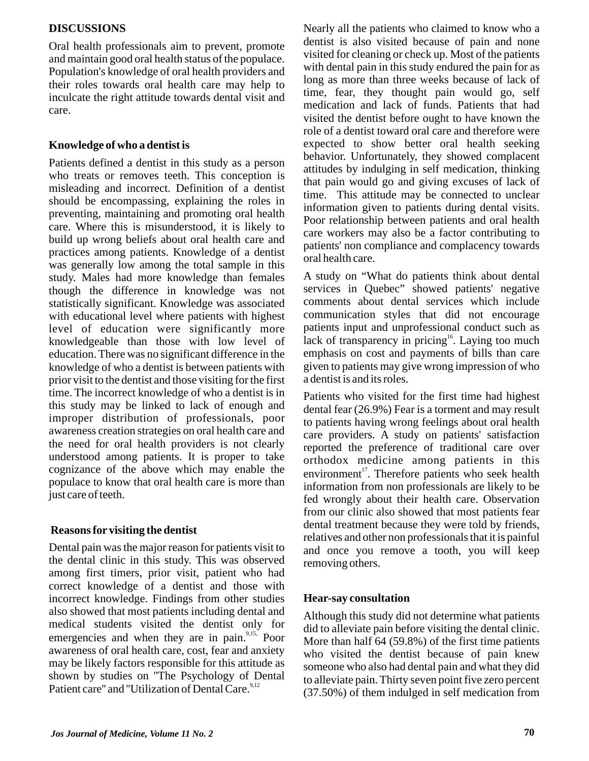## **DISCUSSIONS**

Oral health professionals aim to prevent, promote and maintain good oral health status of the populace. Population's knowledge of oral health providers and their roles towards oral health care may help to inculcate the right attitude towards dental visit and care.

## **Knowledge of who a dentist is**

Patients defined a dentist in this study as a person who treats or removes teeth. This conception is misleading and incorrect. Definition of a dentist should be encompassing, explaining the roles in preventing, maintaining and promoting oral health care. Where this is misunderstood, it is likely to build up wrong beliefs about oral health care and practices among patients. Knowledge of a dentist was generally low among the total sample in this study. Males had more knowledge than females though the difference in knowledge was not statistically significant. Knowledge was associated with educational level where patients with highest level of education were significantly more knowledgeable than those with low level of education. There was no significant difference in the knowledge of who a dentist is between patients with prior visit to the dentist and those visiting for the first time. The incorrect knowledge of who a dentist is in this study may be linked to lack of enough and improper distribution of professionals, poor awareness creation strategies on oral health care and the need for oral health providers is not clearly understood among patients. It is proper to take cognizance of the above which may enable the populace to know that oral health care is more than just care of teeth.

## **Reasons for visiting the dentist**

Dental pain was the major reason for patients visit to the dental clinic in this study. This was observed among first timers, prior visit, patient who had correct knowledge of a dentist and those with incorrect knowledge. Findings from other studies also showed that most patients including dental and medical students visited the dentist only for emergencies and when they are in pain.<sup>9,15,</sup> Poor awareness of oral health care, cost, fear and anxiety may be likely factors responsible for this attitude as shown by studies on ''The Psychology of Dental Patient care" and "Utilization of Dental Care.<sup>9,12</sup>

Nearly all the patients who claimed to know who a dentist is also visited because of pain and none visited for cleaning or check up. Most of the patients with dental pain in this study endured the pain for as long as more than three weeks because of lack of time, fear, they thought pain would go, self medication and lack of funds. Patients that had visited the dentist before ought to have known the role of a dentist toward oral care and therefore were expected to show better oral health seeking behavior. Unfortunately, they showed complacent attitudes by indulging in self medication, thinking that pain would go and giving excuses of lack of time. This attitude may be connected to unclear information given to patients during dental visits. Poor relationship between patients and oral health care workers may also be a factor contributing to patients' non compliance and complacency towards oral health care.

A study on "What do patients think about dental services in Quebec" showed patients' negative comments about dental services which include communication styles that did not encourage patients input and unprofessional conduct such as lack of transparency in pricing  $\frac{16}{16}$ . Laying too much emphasis on cost and payments of bills than care given to patients may give wrong impression of who a dentist is and its roles.

Patients who visited for the first time had highest dental fear (26.9%) Fear is a torment and may result to patients having wrong feelings about oral health care providers. A study on patients' satisfaction reported the preference of traditional care over orthodox medicine among patients in this environment<sup>17</sup>. Therefore patients who seek health information from non professionals are likely to be fed wrongly about their health care. Observation from our clinic also showed that most patients fear dental treatment because they were told by friends, relatives and other non professionals that it is painful and once you remove a tooth, you will keep removing others.

## **Hear-say consultation**

Although this study did not determine what patients did to alleviate pain before visiting the dental clinic. More than half 64 (59.8%) of the first time patients who visited the dentist because of pain knew someone who also had dental pain and what they did to alleviate pain. Thirty seven point five zero percent (37.50%) of them indulged in self medication from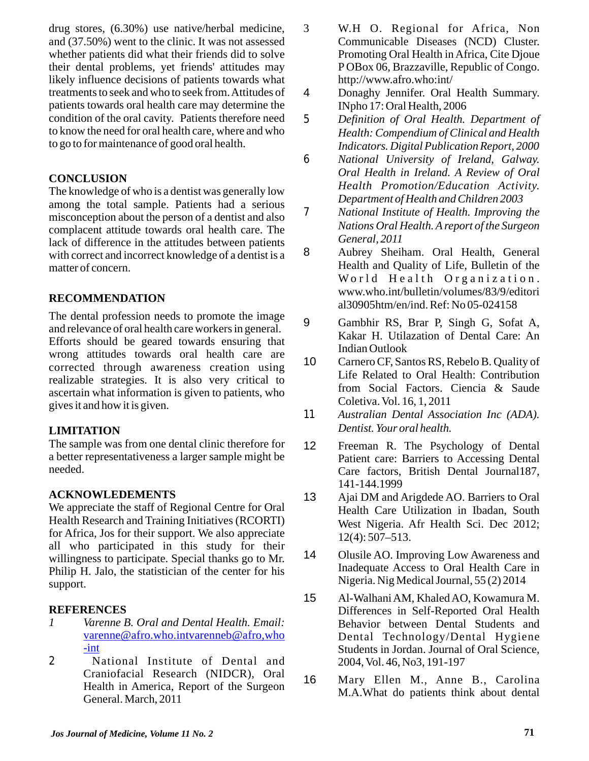drug stores, (6.30%) use native/herbal medicine, and (37.50%) went to the clinic. It was not assessed whether patients did what their friends did to solve their dental problems, yet friends' attitudes may likely influence decisions of patients towards what treatments to seek and who to seek from. Attitudes of patients towards oral health care may determine the condition of the oral cavity. Patients therefore need to know the need for oral health care, where and who to go to for maintenance of good oral health.

## **CONCLUSION**

The knowledge of who is a dentist was generally low among the total sample. Patients had a serious misconception about the person of a dentist and also complacent attitude towards oral health care. The lack of difference in the attitudes between patients with correct and incorrect knowledge of a dentist is a matter of concern.

## **RECOMMENDATION**

The dental profession needs to promote the image and relevance of oral health care workers in general. Efforts should be geared towards ensuring that wrong attitudes towards oral health care are corrected through awareness creation using realizable strategies. It is also very critical to ascertain what information is given to patients, who gives it and how it is given.

## **LIMITATION**

The sample was from one dental clinic therefore for a better representativeness a larger sample might be needed.

### **ACKNOWLEDEMENTS**

We appreciate the staff of Regional Centre for Oral Health Research and Training Initiatives (RCORTI) for Africa, Jos for their support. We also appreciate all who participated in this study for their willingness to participate. Special thanks go to Mr. Philip H. Jalo, the statistician of the center for his support.

## **REFERENCES**

- *1 Varenne B. Oral and Dental Health. Email:*  varenne@afro.who.intvarenneb@afro,who -int
- *2* National Institute of Dental and Craniofacial Research (NIDCR), Oral Health in America, Report of the Surgeon General. March, 2011
- 3 W.H O. Regional for Africa, Non Communicable Diseases (NCD) Cluster. Promoting Oral Health in Africa, Cite Djoue P OBox 06, Brazzaville, Republic of Congo. http://www.afro.who:int/
- 4 Donaghy Jennifer. Oral Health Summary. INpho 17: Oral Health, 2006
- *5 Definition of Oral Health. Department of Health: Compendium of Clinical and Health Indicators. Digital Publication Report, 2000*
- *6 National University of Ireland, Galway. Oral Health in Ireland. A Review of Oral Health Promotion/Education Activity. Department of Health and Children 2003*
- *7 National Institute of Health. Improving the Nations Oral Health. Areport of the Surgeon General, 2011*
- 8 Aubrey Sheiham. Oral Health, General Health and Quality of Life, Bulletin of the World Health Organization. www.who.int/bulletin/volumes/83/9/editori al30905htm/en/ind. Ref: No 05-024158
- 9 Gambhir RS, Brar P, Singh G, Sofat A, Kakar H. Utilazation of Dental Care: An Indian Outlook
- 10 Carnero CF, Santos RS, Rebelo B. Quality of Life Related to Oral Health: Contribution from Social Factors. Ciencia & Saude Coletiva. Vol. 16, 1, 2011
- *11 Australian Dental Association Inc (ADA). Dentist. Your oral health.*
- 12 Freeman R. The Psychology of Dental Patient care: Barriers to Accessing Dental Care factors, British Dental Journal187, 141-144.1999
- 13 Ajai DM and Arigdede AO. Barriers to Oral Health Care Utilization in Ibadan, South West Nigeria. Afr Health Sci. Dec 2012; 12(4): 507–513.
- 14 Olusile AO. Improving Low Awareness and Inadequate Access to Oral Health Care in Nigeria. Nig Medical Journal, 55 (2) 2014
- 15 Al-Walhani AM, Khaled AO, Kowamura M. Differences in Self-Reported Oral Health Behavior between Dental Students and Dental Technology/Dental Hygiene Students in Jordan. Journal of Oral Science, 2004, Vol. 46, No3, 191-197
- 16 Mary Ellen M., Anne B., Carolina M.A.What do patients think about dental